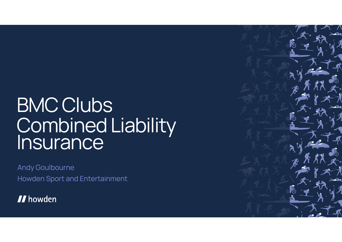# **BMC Clubs** Combined Liability Insurance

Andy Goulbourne Howden Sport and Entertainment

**II** howden

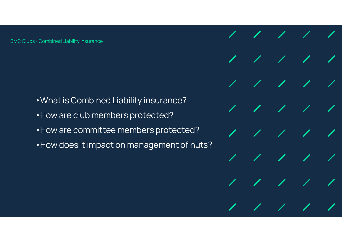- •What is Combined Liability insurance?
- •How are club members protected?
- •How are committee members protected?
- •How does it impact on management of huts?

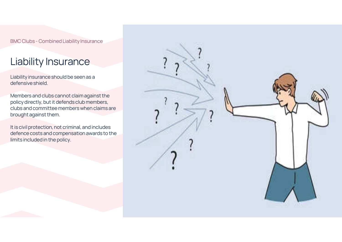BMC Clubs - Combined Liability Insurance

#### Liability Insurance

Liability insurance should be seen as a defensive shield.

Members and clubs cannot claim against the policy directly, but it defends club members, clubs and committee members when claims are brought against them.

It is civil protection, not criminal, and includes defence costs and compensation awards to the limits included in the policy.

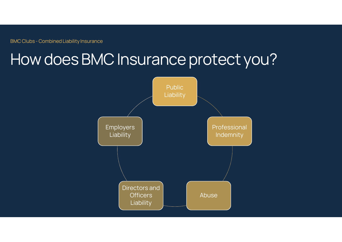### How does BMC Insurance protect you?

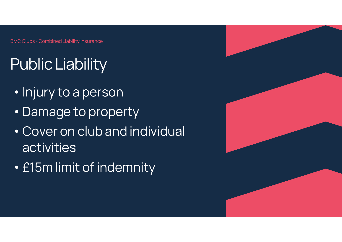# Public Liability

- Injury to a person
- Damage to property
- Cover on club and individual activities
- £15m limit of indemnity

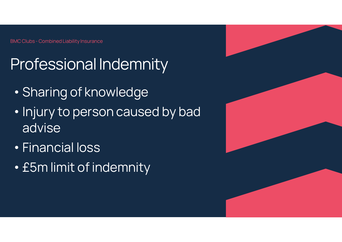- Professional Indemnity
	- Sharing of knowledge
	- Injury to person caused by bad advise
	- Financial loss
	- £5m limit of indemnity

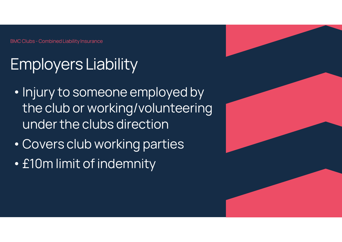# Employers Liability

- Injury to someone employed by the club or working/volunteering under the clubs direction
- Covers club working parties
- £10m limit of indemnity

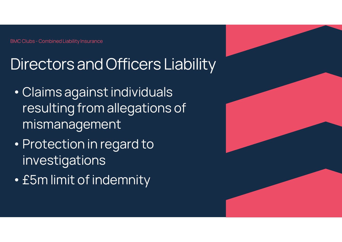## Directors and Officers Liability

- Claims against individuals resulting from allegations of mismanagement
- Protection in regard to investigations
- £5m limit of indemnity

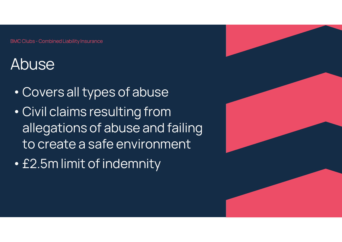### Abuse

- Covers all types of abuse
- Civil claims resulting from allegations of abuse and failing to create a safe environment
- £2.5m limit of indemnity

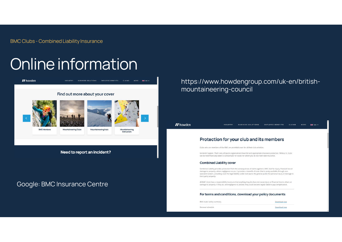### Online information



#### https://www.howdengroup.com/uk-en/britishmountaineering-council

**BUSINESS SOLUTIONS - EMPLOYEE BENEFITS - CLAIMS** 

#### Protection for your club and its members

Clubs who are members of the BMC are provided cover for all their club activities.

**INDUSTRY** 

Incidents happen. That's why all sports organisations have full and appropriate insurance protection. Without it, clubs can be held financially liable to compensate for losses for which you do not hold valid insurance.

#### **Combined Liability cover**

**II** howden

Combined Liability provides protection from the consequences of claims against a BMC club for injury, financial loss or damage to property, where negligence occurs. It provides a breadth of cover that is rarely available through nonspecialist brokers, providing cover for legal liability under civil law to the general public for personal injury or damage to third party property.

All BMC clubs have a responsibility to ensure that anything they do does not cause injury or financial loss to others or damage to property. If they do, and negligence is proved, they could become legally liable to pay compensation.

#### For terms and conditions, download your policy documents

| BMC clubs' policy summary                                      |  |
|----------------------------------------------------------------|--|
| the control of the control of the control<br>Renewal schedule: |  |

Download now Download now **MORE SHEET**